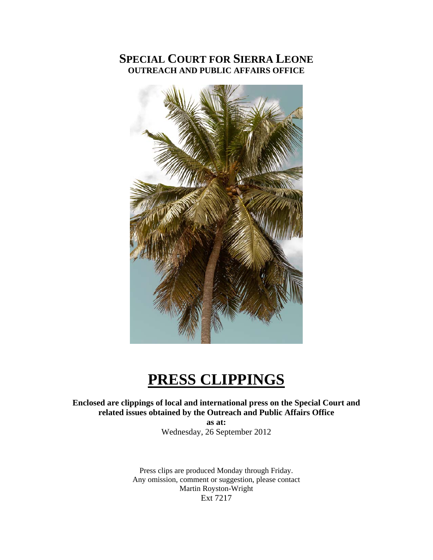### **SPECIAL COURT FOR SIERRA LEONE OUTREACH AND PUBLIC AFFAIRS OFFICE**



# **PRESS CLIPPINGS**

#### **Enclosed are clippings of local and international press on the Special Court and related issues obtained by the Outreach and Public Affairs Office**

**as at:**  Wednesday, 26 September 2012

Press clips are produced Monday through Friday. Any omission, comment or suggestion, please contact Martin Royston-Wright Ext 7217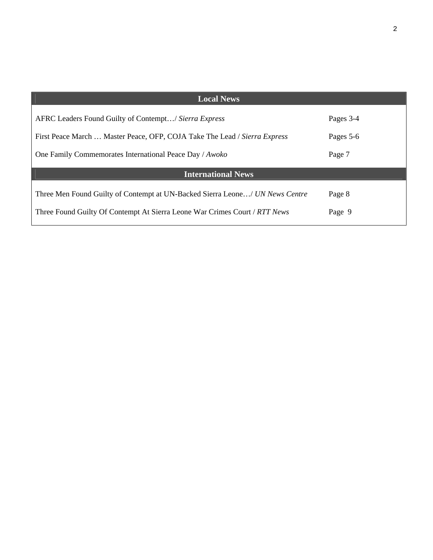| <b>Local News</b>                                                            |           |
|------------------------------------------------------------------------------|-----------|
| AFRC Leaders Found Guilty of Contempt/ Sierra Express                        | Pages 3-4 |
| First Peace March  Master Peace, OFP, COJA Take The Lead / Sierra Express    | Pages 5-6 |
| One Family Commemorates International Peace Day / Awoko                      | Page 7    |
| <b>International News</b>                                                    |           |
| Three Men Found Guilty of Contempt at UN-Backed Sierra Leone/ UN News Centre | Page 8    |
| Three Found Guilty Of Contempt At Sierra Leone War Crimes Court / RTT News   | Page 9    |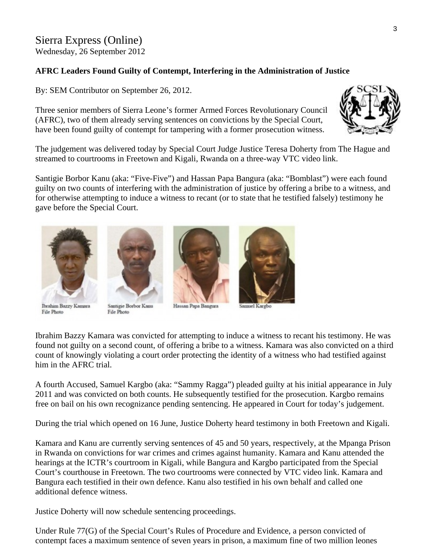## Sierra Express (Online)

Wednesday, 26 September 2012

#### **AFRC Leaders Found Guilty of Contempt, Interfering in the Administration of Justice**

By: SEM Contributor on September 26, 2012.

Three senior members of Sierra Leone's former Armed Forces Revolutionary Council (AFRC), two of them already serving sentences on convictions by the Special Court, have been found guilty of contempt for tampering with a former prosecution witness.



The judgement was delivered today by Special Court Judge Justice Teresa Doherty f rom The Hague and streamed to courtrooms in Freetown and Kigali, Rwanda on a three-way VTC video link.

Santigie Borbor Kanu (aka: "Five-Five") and Hassan Papa Bangura (aka: "Bomblast") were each found guilty on two counts of interfering with the administration of justice by offering a bribe to a witness, and for otherwise attempting to induce a witness to recant (or to state that he testified falsely) testimony he gave before the Special Court.



**Ibrahim Bazzy Kamara** File Photo



Santigie Borbor Kanu File Photo



Hassan Papa Bangura

muel Kargbo

Ibrahim Bazzy Kamara was convicted for attempting to induce a witness to recant his testimony. He was found not guilty on a second count, of offering a bribe to a witness. Kamara was also convicted on a third count of knowingly violating a court order protecting the identity of a witness who had testified against him in the AFRC trial.

A fourth Accused, Samuel Kargbo (aka: "Sammy Ragga") pleaded guilty at his initial appearance in July 2011 and was convicted on both counts. He subsequently testified for the prosecution. Kargbo remains free on bail on his own recognizance pending sentencing. He appeared in Court for today's judgement.

During the trial which opened on 16 June, Justice Doherty heard testimony in both Freetown and Kigali.

Kamara and Kanu are currently serving sentences of 45 and 50 years, respectively, at the Mpanga Prison in Rwanda on convictions for war crimes and crimes against humanity. Kamara and Kanu attended the hearings at the ICTR's courtroom in Kigali, while Bangura and Kargbo participated from the Special Court's courthouse in Freetown. The two courtrooms were connected by VTC video link. Kamara and Bangura each testified in their own defence. Kanu also testified in his own behalf and called one additional defence witness.

Justice Doherty will now schedule sentencing proceedings.

Under Rule 77(G) of the Special Court's Rules of Procedure and Evidence, a person convicted of contempt faces a maximum sentence of seven years in prison, a maximum fine of two million leones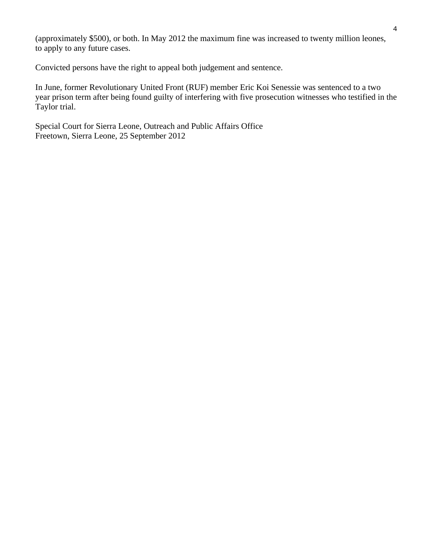(approximately \$500), or both. In May 2012 the maximum fine was increased to twenty million leo nes, to apply to any future cases.

Convicted persons have the right to appeal both judgement and sentence.

In June, former Revolutionary United Front (RUF) member Eric Koi Senessie was sentenced to a two year prison term after being found guilty of interfering with five prosecution witnesses who testified in the Taylor trial.

Special Court for Sierra Leone, Outreach and Public Affairs Office Freetown, Sierra Leone, 25 September 2012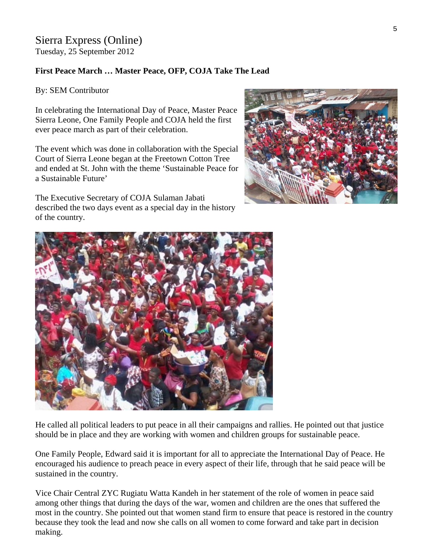#### Sierra Express (Online) Tuesday, 25 September 2012

#### **First Peace March … Master Peace, OFP, COJA Take The Lead**

By: SEM Contributor

In celebrating the International Day of Peace, Master P eace Sierra Leone, One Family People and COJA held the firs t ever peace march as part of their celebration.

The event which was done in collaboration with the Special Court of Sierra Leone began at the Freetown Cotton Tree and ended at St. John with the theme 'Sustainable Peace for a Sustainable Future'

The Executive Secretary of COJA Sulaman Jabati described the two days event as a special day in the history of the country.





He called all political leaders to put peace in all their campaigns and rallies. He pointed out that justice should be in place and they are working with women and children groups for sustainable peace.

One Family People, Edward said it is important for all to appreciate the International Day of Peace. He encouraged his audience to preach peace in every aspect of their life, through that he said peace will be sustained in the country.

Vice Chair Central ZYC Rugiatu Watta Kandeh in her statement of the role of women in peace said among other things that during the days of the war, women and children are the ones that suffered the most in the country. She pointed out that women stand firm to ensure that peace is restored in the country because they took the lead and now she calls on all women to come forward and take part in decision making.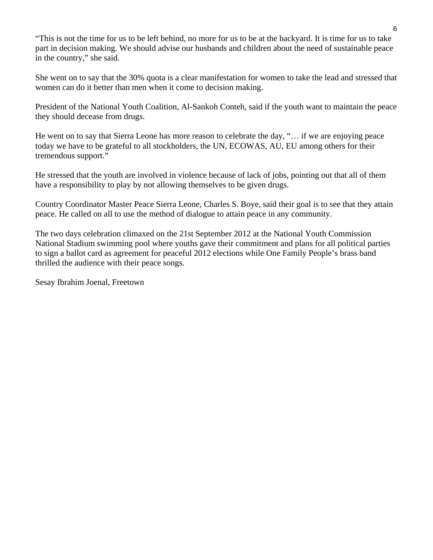"This is not the time for us to be left behind, no more for us to be at the backyard. It is time for us to take part in decision making. We should advise our husbands and children about the need of sustainable peace in the country," she said.

She went on to say that the 30% quota is a clear manifestation for women to take the lead and stressed that women can do it better than men when it come to decision making.

President of the National Youth Coalition, Al-Sankoh Conteh, said if the youth want to maintain the peace they should decease from drugs.

He went on to say that Sierra Leone has more reason to celebrate the day, "… if we are enjoying peace today we have to be grateful to all stockholders, the UN, ECOWAS, AU, EU among others for their tremendous support."

He stressed that the youth are involved in violence because of lack of jobs, pointing out that all of them have a responsibility to play by not allowing themselves to be given drugs.

Country Coordinator Master Peace Sierra Leone, Charles S. Boye, said their goal is to see that they attain peace. He called on all to use the method of dialogue to attain peace in any community.

The two days celebration climaxed on the 21st September 2012 at the National Youth Commission National Stadium swimming pool where youths gave their commitment and plans for all political parties to sign a ballot card as agreement for peaceful 2012 elections while One Family People's brass band thrilled the audience with their peace songs.

Sesay Ibrahim Joenal, Freetown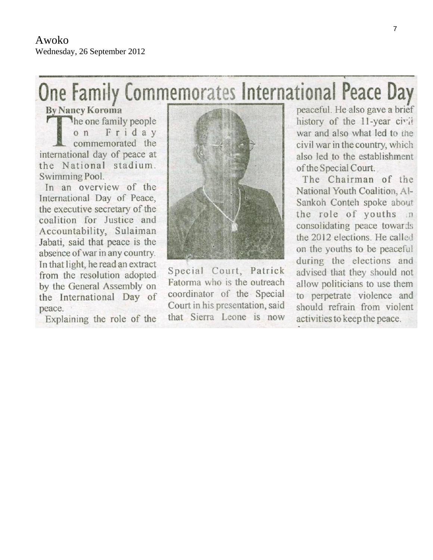# One Family Commemorates International Peace Day

**By Nancy Koroma** The one family people Friday  $O<sub>n</sub>$ commemorated the international day of peace at the National stadium. Swimming Pool.

In an overview of the International Day of Peace, the executive secretary of the coalition for Justice and Accountability, Sulaiman Jabati, said that peace is the absence of war in any country. In that light, he read an extract from the resolution adopted by the General Assembly on the International Day of peace.

Explaining the role of the



Special Court, Patrick Fatorma who is the outreach coordinator of the Special Court in his presentation, said that Sierra Leone is now peaceful. He also gave a brief history of the 11-year civil war and also what led to the civil war in the country, which also led to the establishment of the Special Court.

The Chairman of the National Youth Coalition, Al-Sankoh Conteh spoke about the role of youths n consolidating peace towards the 2012 elections. He called on the youths to be peaceful during the elections and advised that they should not allow politicians to use them to perpetrate violence and should refrain from violent activities to keep the peace.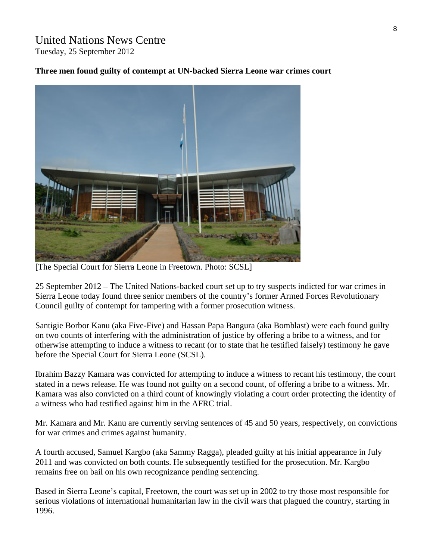#### United Nations News Centre Tuesday, 25 September 2012

#### **Three men found guilty of contempt at UN-backed Sierra Leone war crimes court**



[The Special Court for Sierra Leone in Freetown. Photo: SCSL]

25 September 2012 – The United Nations-backed court set up to try suspects indicted for war crimes in Sierra Leone today found three senior members of the country's former Armed Forces Revolutionary Council guilty of contempt for tampering with a former prosecution witness.

Santigie Borbor Kanu (aka Five-Five) and Hassan Papa Bangura (aka Bomblast) were each found guilty on two counts of interfering with the administration of justice by offering a bribe to a witness, and for otherwise attempting to induce a witness to recant (or to state that he testified falsely) testimony he gave before the Special Court for Sierra Leone (SCSL).

Ibrahim Bazzy Kamara was convicted for attempting to induce a witness to recant his testimony, the court stated in a news release. He was found not guilty on a second count, of offering a bribe to a witness. Mr. Kamara was also convicted on a third count of knowingly violating a court order protecting the identity of a witness who had testified against him in the AFRC trial.

Mr. Kamara and Mr. Kanu are currently serving sentences of 45 and 50 years, respectively, on convictions for war crimes and crimes against humanity.

A fourth accused, Samuel Kargbo (aka Sammy Ragga), pleaded guilty at his initial appearance in July 2011 and was convicted on both counts. He subsequently testified for the prosecution. Mr. Kargbo remains free on bail on his own recognizance pending sentencing.

Based in Sierra Leone's capital, Freetown, the court was set up in 2002 to try those most responsible for serious violations of international humanitarian law in the civil wars that plagued the country, starting in 1996.